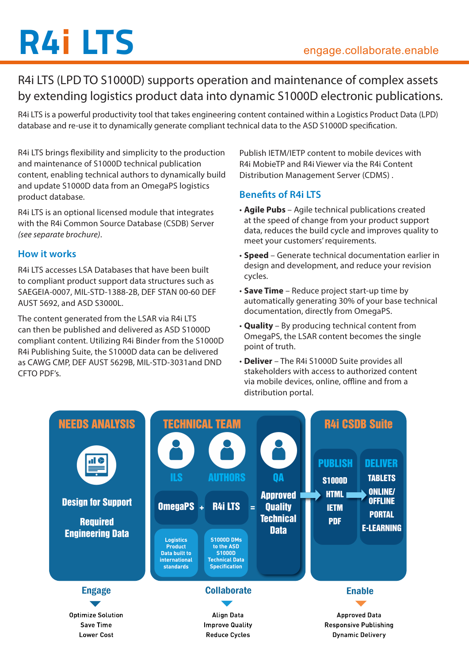# **R4i LTS** engage.collaborate.enable

R4i LTS (LPD TO S1000D) supports operation and maintenance of complex assets by extending logistics product data into dynamic S1000D electronic publications.

R4i LTS is a powerful productivity tool that takes engineering content contained within a Logistics Product Data (LPD) database and re-use it to dynamically generate compliant technical data to the ASD S1000D specification.

R4i LTS brings flexibility and simplicity to the production and maintenance of S1000D technical publication content, enabling technical authors to dynamically build and update S1000D data from an OmegaPS logistics product database.

R4i LTS is an optional licensed module that integrates with the R4i Common Source Database (CSDB) Server *(see separate brochure)*.

## **How it works**

R4i LTS accesses LSA Databases that have been built to compliant product support data structures such as SAEGEIA-0007, MIL-STD-1388-2B, DEF STAN 00-60 DEF AUST 5692, and ASD S3000L.

The content generated from the LSAR via R4i LTS can then be published and delivered as ASD S1000D compliant content. Utilizing R4i Binder from the S1000D R4i Publishing Suite, the S1000D data can be delivered as CAWG CMP, DEF AUST 5629B, MIL-STD-3031and DND CFTO PDF's.

Publish IETM/IETP content to mobile devices with R4i MobieTP and R4i Viewer via the R4i Content Distribution Management Server (CDMS) .

## **Benefits of R4i LTS**

- **Agile Pubs** Agile technical publications created at the speed of change from your product support data, reduces the build cycle and improves quality to meet your customers' requirements.
- • **Speed**  Generate technical documentation earlier in design and development, and reduce your revision cycles.
- **Save Time** Reduce project start-up time by automatically generating 30% of your base technical documentation, directly from OmegaPS.
- • **Quality**  By producing technical content from OmegaPS, the LSAR content becomes the single point of truth.
- • **Deliver** The R4i S1000D Suite provides all stakeholders with access to authorized content via mobile devices, online, offline and from a distribution portal.